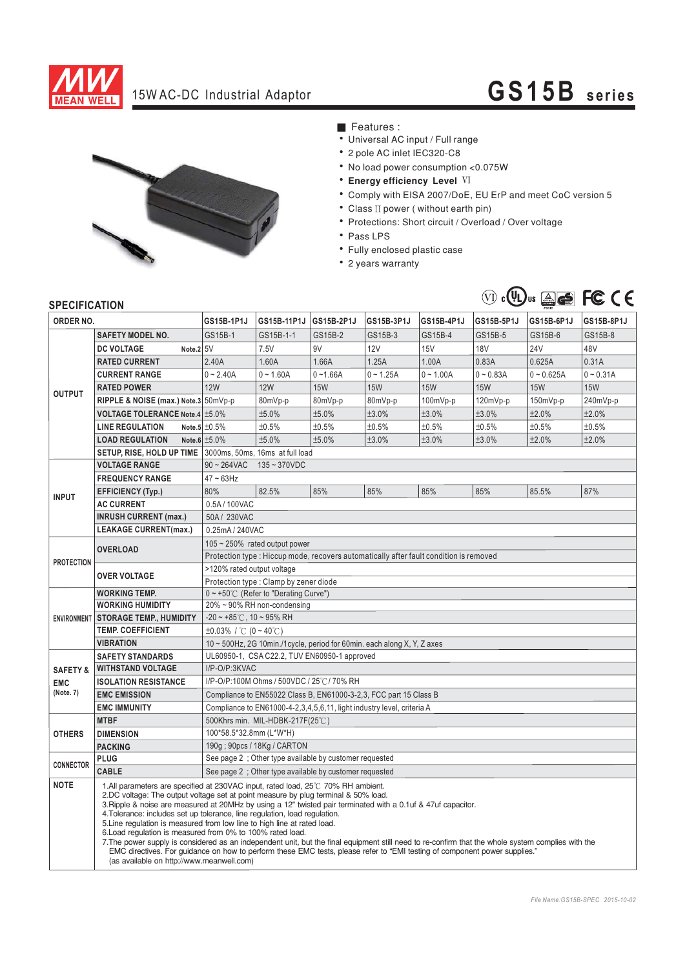

## 15W AC-DC Industrial Adaptor **GS15B series**



■ Features :

- Universal AC input / Full range
- \* 2 pole AC inlet IEC320-C8
- . No load power consumption <0.075W
- **Energy efficiency Level VI**
- Comply with EISA 2007/DoE, EU ErP and meet CoC version 5
- Class II power (without earth pin)
- Protections: Short circuit / Overload / Over voltage
- Pass LPS
- Fully enclosed plastic case
- 2 years warranty



## **SPECIFICATION**

| ORDER NO.                                      |                                                                                                                                                                                                                                                                                                                                                                                                                                                                                                                                                                                                                                                                                                                                                                                                                                                  | GS15B-1P1J                                                                            | GS15B-11P1J | GS15B-2P1J  | GS15B-3P1J  | GS15B-4P1J  | GS15B-5P1J  | GS15B-6P1J   | GS15B-8P1J  |
|------------------------------------------------|--------------------------------------------------------------------------------------------------------------------------------------------------------------------------------------------------------------------------------------------------------------------------------------------------------------------------------------------------------------------------------------------------------------------------------------------------------------------------------------------------------------------------------------------------------------------------------------------------------------------------------------------------------------------------------------------------------------------------------------------------------------------------------------------------------------------------------------------------|---------------------------------------------------------------------------------------|-------------|-------------|-------------|-------------|-------------|--------------|-------------|
| <b>OUTPUT</b>                                  | <b>SAFETY MODEL NO.</b>                                                                                                                                                                                                                                                                                                                                                                                                                                                                                                                                                                                                                                                                                                                                                                                                                          | GS15B-1                                                                               | GS15B-1-1   | GS15B-2     | GS15B-3     | GS15B-4     | GS15B-5     | GS15B-6      | GS15B-8     |
|                                                | Note.2 5V<br><b>DC VOLTAGE</b>                                                                                                                                                                                                                                                                                                                                                                                                                                                                                                                                                                                                                                                                                                                                                                                                                   |                                                                                       | 7.5V        | 9V          | <b>12V</b>  | <b>15V</b>  | <b>18V</b>  | 24V          | 48V         |
|                                                | <b>RATED CURRENT</b>                                                                                                                                                                                                                                                                                                                                                                                                                                                                                                                                                                                                                                                                                                                                                                                                                             | 2.40A                                                                                 | 1.60A       | 1.66A       | 1.25A       | 1.00A       | 0.83A       | 0.625A       | 0.31A       |
|                                                | <b>CURRENT RANGE</b>                                                                                                                                                                                                                                                                                                                                                                                                                                                                                                                                                                                                                                                                                                                                                                                                                             | $0 - 2.40A$                                                                           | $0 - 1.60A$ | $0 - 1.66A$ | $0 - 1.25A$ | $0 - 1.00A$ | $0 - 0.83A$ | $0 - 0.625A$ | $0 - 0.31A$ |
|                                                | <b>RATED POWER</b>                                                                                                                                                                                                                                                                                                                                                                                                                                                                                                                                                                                                                                                                                                                                                                                                                               | <b>12W</b>                                                                            | <b>12W</b>  | <b>15W</b>  | <b>15W</b>  | <b>15W</b>  | <b>15W</b>  | <b>15W</b>   | <b>15W</b>  |
|                                                | RIPPLE & NOISE (max.) Note.3 50mVp-p                                                                                                                                                                                                                                                                                                                                                                                                                                                                                                                                                                                                                                                                                                                                                                                                             |                                                                                       | 80mVp-p     | 80mVp-p     | 80mVp-p     | 100mVp-p    | $120mVp-p$  | 150mVp-p     | 240mVp-p    |
|                                                | VOLTAGE TOLERANCE Note.4 ±5.0%                                                                                                                                                                                                                                                                                                                                                                                                                                                                                                                                                                                                                                                                                                                                                                                                                   |                                                                                       | ±5.0%       | ±5.0%       | ±3.0%       | ±3.0%       | ±3.0%       | ±2.0%        | ±2.0%       |
|                                                | <b>LINE REGULATION</b>                                                                                                                                                                                                                                                                                                                                                                                                                                                                                                                                                                                                                                                                                                                                                                                                                           | Note.5 $\pm 0.5\%$                                                                    | ±0.5%       | ±0.5%       | ±0.5%       | ±0.5%       | ±0.5%       | ±0.5%        | ±0.5%       |
|                                                | <b>LOAD REGULATION</b>                                                                                                                                                                                                                                                                                                                                                                                                                                                                                                                                                                                                                                                                                                                                                                                                                           | Note.6 $±5.0\%$                                                                       | ±5.0%       | ±5.0%       | ±3.0%       | ±3.0%       | ±3.0%       | ±2.0%        | ±2.0%       |
|                                                |                                                                                                                                                                                                                                                                                                                                                                                                                                                                                                                                                                                                                                                                                                                                                                                                                                                  | SETUP, RISE, HOLD UP TIME 3000ms, 50ms, 16ms at full load                             |             |             |             |             |             |              |             |
|                                                | <b>VOLTAGE RANGE</b>                                                                                                                                                                                                                                                                                                                                                                                                                                                                                                                                                                                                                                                                                                                                                                                                                             | $90 \sim 264$ VAC<br>$135 - 370$ VDC                                                  |             |             |             |             |             |              |             |
| <b>INPUT</b>                                   | <b>FREQUENCY RANGE</b>                                                                                                                                                                                                                                                                                                                                                                                                                                                                                                                                                                                                                                                                                                                                                                                                                           | $47 \sim 63$ Hz                                                                       |             |             |             |             |             |              |             |
|                                                | <b>EFFICIENCY (Typ.)</b>                                                                                                                                                                                                                                                                                                                                                                                                                                                                                                                                                                                                                                                                                                                                                                                                                         | 80%                                                                                   | 82.5%       | 85%         | 85%         | 85%         | 85%         | 85.5%        | 87%         |
|                                                | <b>AC CURRENT</b>                                                                                                                                                                                                                                                                                                                                                                                                                                                                                                                                                                                                                                                                                                                                                                                                                                | 0.5A/100VAC                                                                           |             |             |             |             |             |              |             |
|                                                | <b>INRUSH CURRENT (max.)</b>                                                                                                                                                                                                                                                                                                                                                                                                                                                                                                                                                                                                                                                                                                                                                                                                                     | 50A/230VAC                                                                            |             |             |             |             |             |              |             |
|                                                | <b>LEAKAGE CURRENT(max.)</b>                                                                                                                                                                                                                                                                                                                                                                                                                                                                                                                                                                                                                                                                                                                                                                                                                     | 0.25mA / 240VAC                                                                       |             |             |             |             |             |              |             |
| <b>PROTECTION</b>                              | <b>OVERLOAD</b>                                                                                                                                                                                                                                                                                                                                                                                                                                                                                                                                                                                                                                                                                                                                                                                                                                  | $105 \sim 250\%$ rated output power                                                   |             |             |             |             |             |              |             |
|                                                |                                                                                                                                                                                                                                                                                                                                                                                                                                                                                                                                                                                                                                                                                                                                                                                                                                                  | Protection type: Hiccup mode, recovers automatically after fault condition is removed |             |             |             |             |             |              |             |
|                                                | <b>OVER VOLTAGE</b>                                                                                                                                                                                                                                                                                                                                                                                                                                                                                                                                                                                                                                                                                                                                                                                                                              | >120% rated output voltage                                                            |             |             |             |             |             |              |             |
|                                                |                                                                                                                                                                                                                                                                                                                                                                                                                                                                                                                                                                                                                                                                                                                                                                                                                                                  | Protection type: Clamp by zener diode                                                 |             |             |             |             |             |              |             |
| <b>ENVIRONMENT</b>                             | <b>WORKING TEMP.</b>                                                                                                                                                                                                                                                                                                                                                                                                                                                                                                                                                                                                                                                                                                                                                                                                                             | $0 \sim +50^{\circ}$ (Refer to "Derating Curve")                                      |             |             |             |             |             |              |             |
|                                                | <b>WORKING HUMIDITY</b>                                                                                                                                                                                                                                                                                                                                                                                                                                                                                                                                                                                                                                                                                                                                                                                                                          | 20% ~ 90% RH non-condensing                                                           |             |             |             |             |             |              |             |
|                                                | <b>STORAGE TEMP., HUMIDITY</b>                                                                                                                                                                                                                                                                                                                                                                                                                                                                                                                                                                                                                                                                                                                                                                                                                   | $-20 \sim +85^{\circ}$ C, 10 ~ 95% RH                                                 |             |             |             |             |             |              |             |
|                                                | <b>TEMP. COEFFICIENT</b>                                                                                                                                                                                                                                                                                                                                                                                                                                                                                                                                                                                                                                                                                                                                                                                                                         | $\pm 0.03\%$ / °C (0 ~ 40°C)                                                          |             |             |             |             |             |              |             |
|                                                | <b>VIBRATION</b>                                                                                                                                                                                                                                                                                                                                                                                                                                                                                                                                                                                                                                                                                                                                                                                                                                 | 10 ~ 500Hz, 2G 10min./1cycle, period for 60min. each along X, Y, Z axes               |             |             |             |             |             |              |             |
| <b>SAFETY &amp;</b><br><b>EMC</b><br>(Note. 7) | <b>SAFETY STANDARDS</b>                                                                                                                                                                                                                                                                                                                                                                                                                                                                                                                                                                                                                                                                                                                                                                                                                          | UL60950-1, CSA C22.2, TUV EN60950-1 approved                                          |             |             |             |             |             |              |             |
|                                                | <b>WITHSTAND VOLTAGE</b>                                                                                                                                                                                                                                                                                                                                                                                                                                                                                                                                                                                                                                                                                                                                                                                                                         | I/P-O/P:3KVAC                                                                         |             |             |             |             |             |              |             |
|                                                | <b>ISOLATION RESISTANCE</b>                                                                                                                                                                                                                                                                                                                                                                                                                                                                                                                                                                                                                                                                                                                                                                                                                      | I/P-O/P:100M Ohms / 500VDC / 25℃/70% RH                                               |             |             |             |             |             |              |             |
|                                                | <b>EMC EMISSION</b>                                                                                                                                                                                                                                                                                                                                                                                                                                                                                                                                                                                                                                                                                                                                                                                                                              | Compliance to EN55022 Class B, EN61000-3-2,3, FCC part 15 Class B                     |             |             |             |             |             |              |             |
|                                                | <b>EMC IMMUNITY</b>                                                                                                                                                                                                                                                                                                                                                                                                                                                                                                                                                                                                                                                                                                                                                                                                                              | Compliance to EN61000-4-2, 3, 4, 5, 6, 11, light industry level, criteria A           |             |             |             |             |             |              |             |
| <b>OTHERS</b>                                  | <b>MTBF</b>                                                                                                                                                                                                                                                                                                                                                                                                                                                                                                                                                                                                                                                                                                                                                                                                                                      | 500Khrs min. MIL-HDBK-217F(25℃)                                                       |             |             |             |             |             |              |             |
|                                                | <b>DIMENSION</b>                                                                                                                                                                                                                                                                                                                                                                                                                                                                                                                                                                                                                                                                                                                                                                                                                                 | 100*58.5*32.8mm (L*W*H)                                                               |             |             |             |             |             |              |             |
|                                                | <b>PACKING</b>                                                                                                                                                                                                                                                                                                                                                                                                                                                                                                                                                                                                                                                                                                                                                                                                                                   | 190g; 90pcs / 18Kg / CARTON                                                           |             |             |             |             |             |              |             |
| <b>CONNECTOR</b>                               | <b>PLUG</b>                                                                                                                                                                                                                                                                                                                                                                                                                                                                                                                                                                                                                                                                                                                                                                                                                                      | See page 2 ; Other type available by customer requested                               |             |             |             |             |             |              |             |
|                                                | <b>CABLE</b>                                                                                                                                                                                                                                                                                                                                                                                                                                                                                                                                                                                                                                                                                                                                                                                                                                     | See page 2 ; Other type available by customer requested                               |             |             |             |             |             |              |             |
| <b>NOTE</b>                                    | 1.All parameters are specified at 230VAC input, rated load, 25°C 70% RH ambient.<br>2.DC voltage: The output voltage set at point measure by plug terminal & 50% load.<br>3. Ripple & noise are measured at 20MHz by using a 12" twisted pair terminated with a 0.1uf & 47uf capacitor.<br>4. Tolerance: includes set up tolerance, line regulation, load regulation.<br>5. Line regulation is measured from low line to high line at rated load.<br>6. Load regulation is measured from 0% to 100% rated load.<br>7. The power supply is considered as an independent unit, but the final equipment still need to re-confirm that the whole system complies with the<br>EMC directives. For guidance on how to perform these EMC tests, please refer to "EMI testing of component power supplies."<br>(as available on http://www.meanwell.com) |                                                                                       |             |             |             |             |             |              |             |